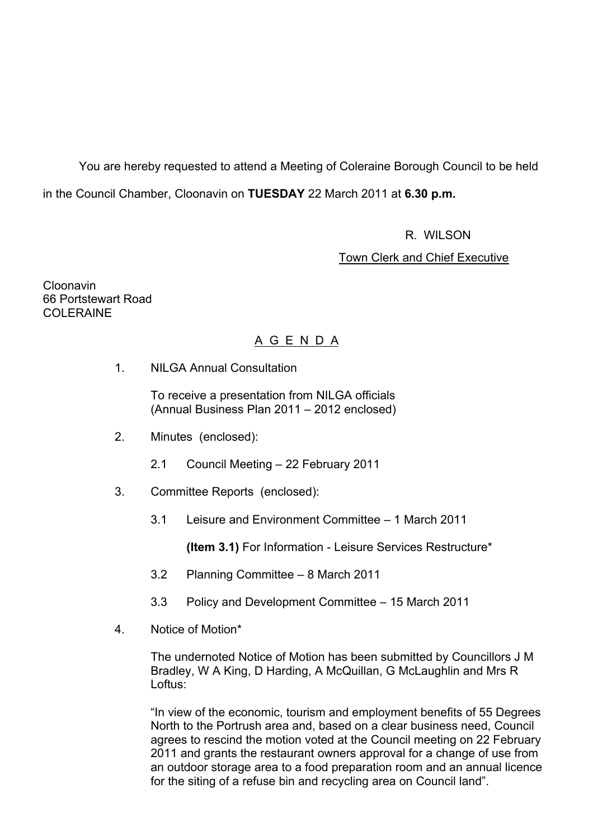You are hereby requested to attend a Meeting of Coleraine Borough Council to be held in the Council Chamber, Cloonavin on **TUESDAY** 22 March 2011 at **6.30 p.m.** 

R. WILSON

Town Clerk and Chief Executive

Cloonavin 66 Portstewart Road COLERAINE

# A G E N D A

1. NILGA Annual Consultation

 To receive a presentation from NILGA officials (Annual Business Plan 2011 – 2012 enclosed)

- 2. Minutes (enclosed):
	- 2.1 Council Meeting 22 February 2011
- 3. Committee Reports (enclosed):
	- 3.1 Leisure and Environment Committee 1 March 2011

**(Item 3.1)** For Information - Leisure Services Restructure\*

- 3.2 Planning Committee 8 March 2011
- 3.3 Policy and Development Committee 15 March 2011
- 4. Notice of Motion\*

The undernoted Notice of Motion has been submitted by Councillors J M Bradley, W A King, D Harding, A McQuillan, G McLaughlin and Mrs R Loftus:

"In view of the economic, tourism and employment benefits of 55 Degrees North to the Portrush area and, based on a clear business need, Council agrees to rescind the motion voted at the Council meeting on 22 February 2011 and grants the restaurant owners approval for a change of use from an outdoor storage area to a food preparation room and an annual licence for the siting of a refuse bin and recycling area on Council land".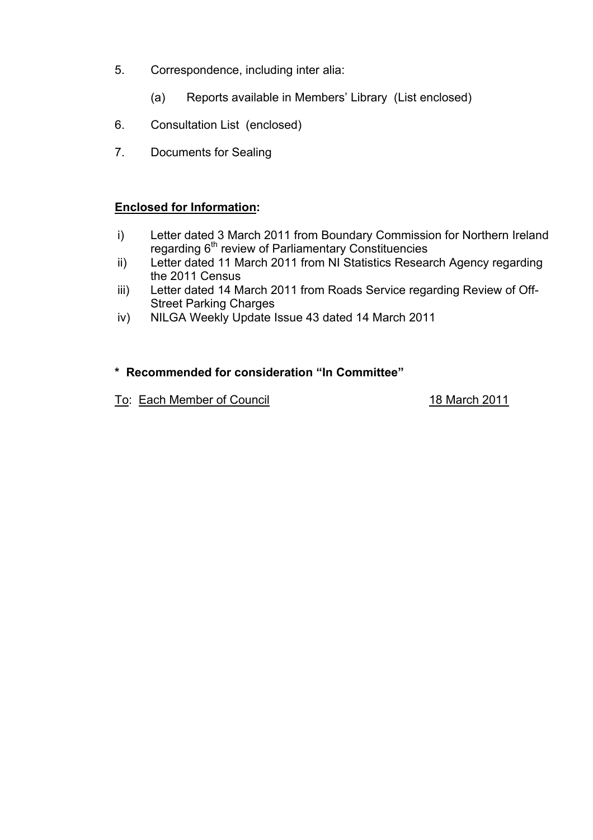- 5. Correspondence, including inter alia:
	- (a) Reports available in Members' Library (List enclosed)
- 6. Consultation List (enclosed)
- 7. Documents for Sealing

# **Enclosed for Information:**

- i) Letter dated 3 March 2011 from Boundary Commission for Northern Ireland regarding  $6<sup>th</sup>$  review of Parliamentary Constituencies
- ii) Letter dated 11 March 2011 from NI Statistics Research Agency regarding the 2011 Census
- iii) Letter dated 14 March 2011 from Roads Service regarding Review of Off-Street Parking Charges
- iv) NILGA Weekly Update Issue 43 dated 14 March 2011

# **\* Recommended for consideration "In Committee"**

To: Each Member of Council 18 March 2011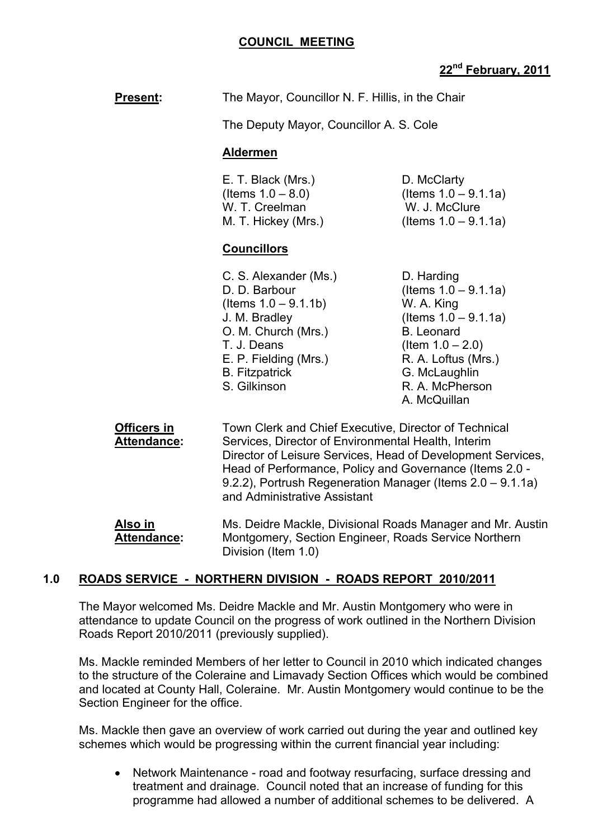| <b>Present:</b> | The Mayor, Councillor N. F. Hillis, in the Chair |
|-----------------|--------------------------------------------------|
|-----------------|--------------------------------------------------|

The Deputy Mayor, Councillor A. S. Cole

## **Aldermen**

| E. T. Black (Mrs.)   | D. McClarty             |
|----------------------|-------------------------|
| (Items $1.0 - 8.0$ ) | (Items $1.0 - 9.1.1a$ ) |
| W. T. Creelman       | W. J. McClure           |
| M. T. Hickey (Mrs.)  | (Items $1.0 - 9.1.1a$ ) |

## **Councillors**

| C. S. Alexander (Ms.)   |
|-------------------------|
| D. D. Barbour           |
| (Items $1.0 - 9.1.1b$ ) |
| J. M. Bradley           |
| O. M. Church (Mrs.)     |
| T. J. Deans             |
| E. P. Fielding (Mrs.)   |
| <b>B.</b> Fitzpatrick   |
| S. Gilkinson            |
|                         |

D. Harding  $($  Items  $1.0 - 9.1.1a)$ W. A. King  $($  Items  $1.0 - 9.1.1a)$ B. Leonard  $($ ltem 1.0 – 2.0) R. A. Loftus (Mrs.) G. McLaughlin R. A. McPherson A. McQuillan

**Officers in Town Clerk and Chief Executive, Director of Technical Attendance:** Services, Director of Environmental Health, Interim Director of Leisure Services, Head of Development Services, Head of Performance, Policy and Governance (Items 2.0 - 9.2.2), Portrush Regeneration Manager (Items 2.0 – 9.1.1a) and Administrative Assistant

**Also in MS. Deidre Mackle, Divisional Roads Manager and Mr. Austin Attendance:** Montgomery, Section Engineer, Roads Service Northern Division (Item 1.0)

# **1.0 ROADS SERVICE - NORTHERN DIVISION - ROADS REPORT 2010/2011**

The Mayor welcomed Ms. Deidre Mackle and Mr. Austin Montgomery who were in attendance to update Council on the progress of work outlined in the Northern Division Roads Report 2010/2011 (previously supplied).

Ms. Mackle reminded Members of her letter to Council in 2010 which indicated changes to the structure of the Coleraine and Limavady Section Offices which would be combined and located at County Hall, Coleraine. Mr. Austin Montgomery would continue to be the Section Engineer for the office.

Ms. Mackle then gave an overview of work carried out during the year and outlined key schemes which would be progressing within the current financial year including:

• Network Maintenance - road and footway resurfacing, surface dressing and treatment and drainage. Council noted that an increase of funding for this programme had allowed a number of additional schemes to be delivered. A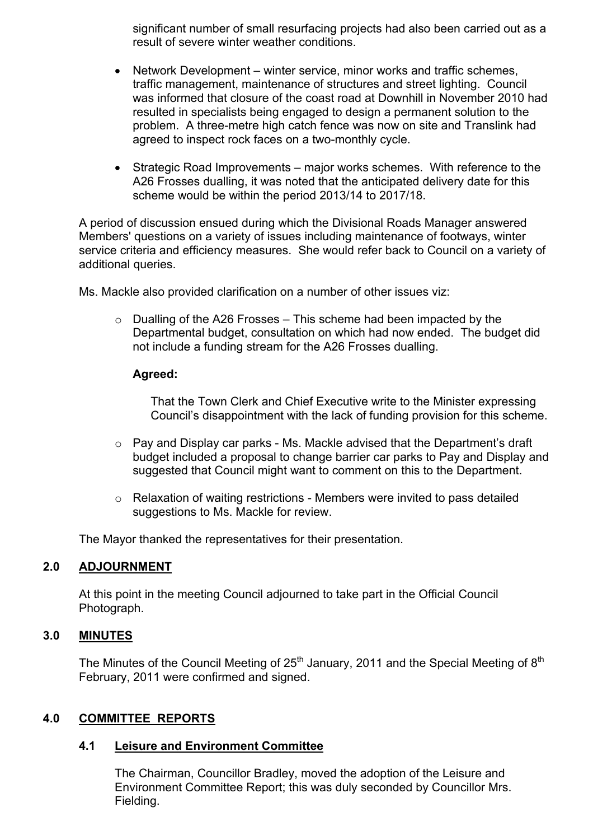significant number of small resurfacing projects had also been carried out as a result of severe winter weather conditions.

- Network Development winter service, minor works and traffic schemes, traffic management, maintenance of structures and street lighting. Council was informed that closure of the coast road at Downhill in November 2010 had resulted in specialists being engaged to design a permanent solution to the problem. A three-metre high catch fence was now on site and Translink had agreed to inspect rock faces on a two-monthly cycle.
- Strategic Road Improvements major works schemes. With reference to the A26 Frosses dualling, it was noted that the anticipated delivery date for this scheme would be within the period 2013/14 to 2017/18.

A period of discussion ensued during which the Divisional Roads Manager answered Members' questions on a variety of issues including maintenance of footways, winter service criteria and efficiency measures. She would refer back to Council on a variety of additional queries.

Ms. Mackle also provided clarification on a number of other issues viz:

 $\circ$  Dualling of the A26 Frosses – This scheme had been impacted by the Departmental budget, consultation on which had now ended. The budget did not include a funding stream for the A26 Frosses dualling.

### **Agreed:**

That the Town Clerk and Chief Executive write to the Minister expressing Council's disappointment with the lack of funding provision for this scheme.

- o Pay and Display car parks Ms. Mackle advised that the Department's draft budget included a proposal to change barrier car parks to Pay and Display and suggested that Council might want to comment on this to the Department.
- o Relaxation of waiting restrictions Members were invited to pass detailed suggestions to Ms. Mackle for review.

The Mayor thanked the representatives for their presentation.

### **2.0 ADJOURNMENT**

 At this point in the meeting Council adjourned to take part in the Official Council Photograph.

### **3.0 MINUTES**

The Minutes of the Council Meeting of 25<sup>th</sup> January, 2011 and the Special Meeting of 8<sup>th</sup> February, 2011 were confirmed and signed.

### **4.0 COMMITTEE REPORTS**

### **4.1 Leisure and Environment Committee**

The Chairman, Councillor Bradley, moved the adoption of the Leisure and Environment Committee Report; this was duly seconded by Councillor Mrs. Fielding.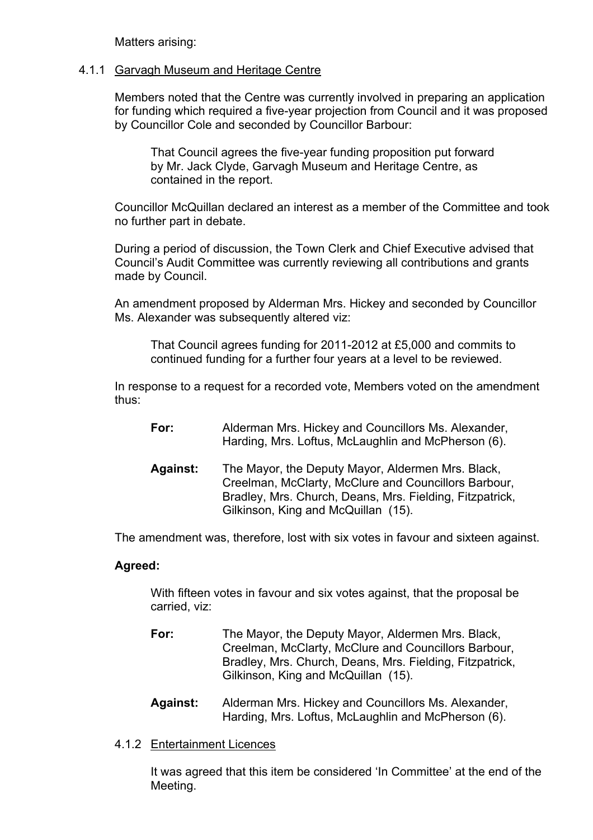Matters arising:

### 4.1.1 Garvagh Museum and Heritage Centre

 Members noted that the Centre was currently involved in preparing an application for funding which required a five-year projection from Council and it was proposed by Councillor Cole and seconded by Councillor Barbour:

 That Council agrees the five-year funding proposition put forward by Mr. Jack Clyde, Garvagh Museum and Heritage Centre, as contained in the report.

 Councillor McQuillan declared an interest as a member of the Committee and took no further part in debate.

 During a period of discussion, the Town Clerk and Chief Executive advised that Council's Audit Committee was currently reviewing all contributions and grants made by Council.

 An amendment proposed by Alderman Mrs. Hickey and seconded by Councillor Ms. Alexander was subsequently altered viz:

 That Council agrees funding for 2011-2012 at £5,000 and commits to continued funding for a further four years at a level to be reviewed.

 In response to a request for a recorded vote, Members voted on the amendment thus:

- **For:** Alderman Mrs. Hickey and Councillors Ms. Alexander, Harding, Mrs. Loftus, McLaughlin and McPherson (6).
- **Against:** The Mayor, the Deputy Mayor, Aldermen Mrs. Black, Creelman, McClarty, McClure and Councillors Barbour, Bradley, Mrs. Church, Deans, Mrs. Fielding, Fitzpatrick, Gilkinson, King and McQuillan (15).

The amendment was, therefore, lost with six votes in favour and sixteen against.

### **Agreed:**

With fifteen votes in favour and six votes against, that the proposal be carried, viz:

- **For:** The Mayor, the Deputy Mayor, Aldermen Mrs. Black, Creelman, McClarty, McClure and Councillors Barbour, Bradley, Mrs. Church, Deans, Mrs. Fielding, Fitzpatrick, Gilkinson, King and McQuillan (15).
- **Against:** Alderman Mrs. Hickey and Councillors Ms. Alexander, Harding, Mrs. Loftus, McLaughlin and McPherson (6).
- 4.1.2 Entertainment Licences

It was agreed that this item be considered 'In Committee' at the end of the Meeting.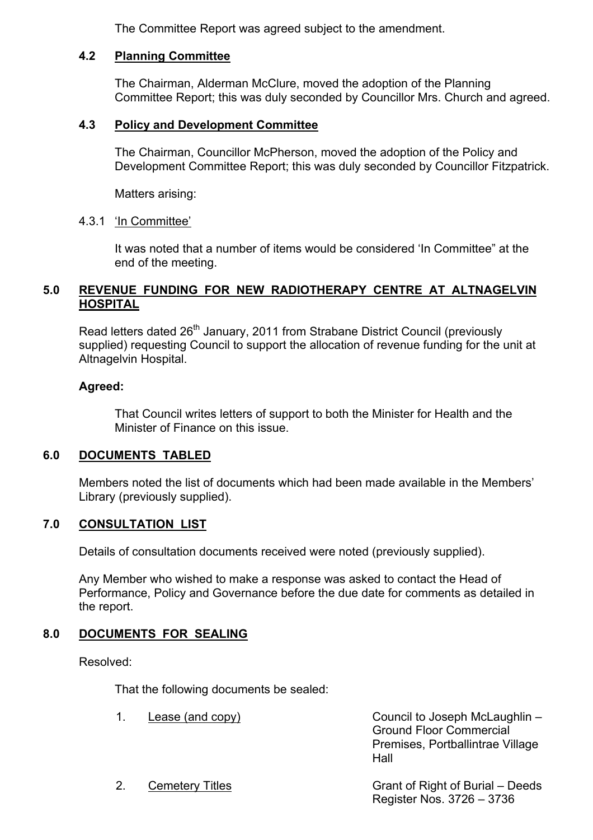The Committee Report was agreed subject to the amendment.

### **4.2 Planning Committee**

The Chairman, Alderman McClure, moved the adoption of the Planning Committee Report; this was duly seconded by Councillor Mrs. Church and agreed.

## **4.3 Policy and Development Committee**

 The Chairman, Councillor McPherson, moved the adoption of the Policy and Development Committee Report; this was duly seconded by Councillor Fitzpatrick.

Matters arising:

## 4.3.1 'In Committee'

 It was noted that a number of items would be considered 'In Committee" at the end of the meeting.

# **5.0 REVENUE FUNDING FOR NEW RADIOTHERAPY CENTRE AT ALTNAGELVIN HOSPITAL**

Read letters dated 26<sup>th</sup> January, 2011 from Strabane District Council (previously supplied) requesting Council to support the allocation of revenue funding for the unit at Altnagelvin Hospital.

### **Agreed:**

That Council writes letters of support to both the Minister for Health and the Minister of Finance on this issue.

# **6.0 DOCUMENTS TABLED**

 Members noted the list of documents which had been made available in the Members' Library (previously supplied).

### **7.0 CONSULTATION LIST**

Details of consultation documents received were noted (previously supplied).

 Any Member who wished to make a response was asked to contact the Head of Performance, Policy and Governance before the due date for comments as detailed in the report.

# **8.0 DOCUMENTS FOR SEALING**

Resolved:

That the following documents be sealed:

1. Lease (and copy) Council to Joseph McLaughlin – Ground Floor Commercial Premises, Portballintrae Village Hall

2. Cemetery Titles Grant of Right of Burial – Deeds Register Nos. 3726 – 3736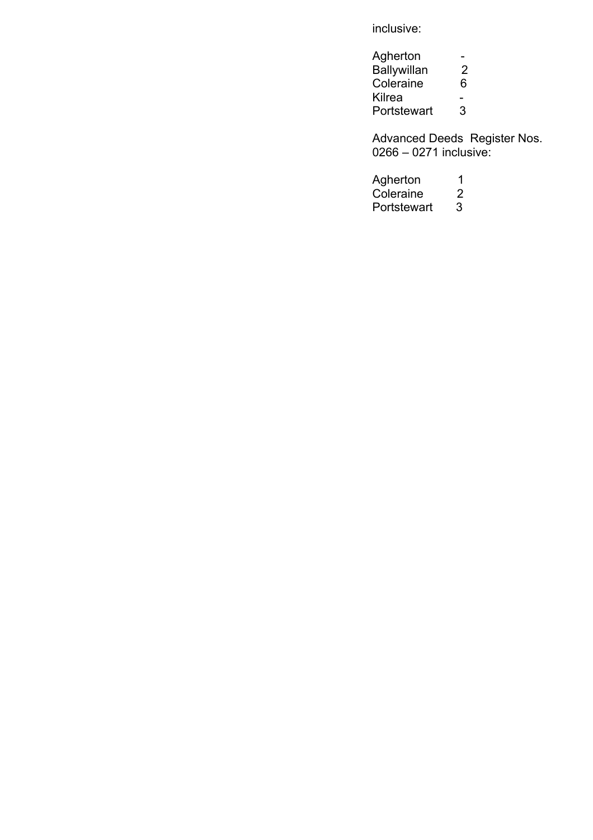inclusive:

| Agherton           |   |
|--------------------|---|
| <b>Ballywillan</b> | 2 |
| Coleraine          | 6 |
| Kilrea             |   |
| Portstewart        | З |

Advanced Deeds Register Nos. 0266 – 0271 inclusive:

| Agherton    | 1 |
|-------------|---|
| Coleraine   | 2 |
| Portstewart | 3 |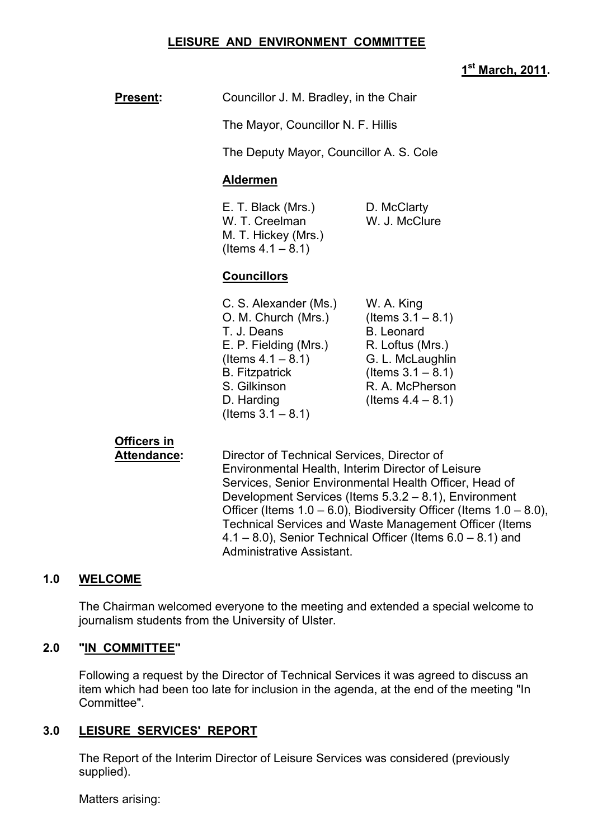### **LEISURE AND ENVIRONMENT COMMITTEE**

## **1st March, 2011.**

|                                          |                                                                                                                                                                                                                                                                                           |                                                                                                                                                                    | 1st March, 2011. |
|------------------------------------------|-------------------------------------------------------------------------------------------------------------------------------------------------------------------------------------------------------------------------------------------------------------------------------------------|--------------------------------------------------------------------------------------------------------------------------------------------------------------------|------------------|
| <b>Present:</b>                          | Councillor J. M. Bradley, in the Chair                                                                                                                                                                                                                                                    |                                                                                                                                                                    |                  |
|                                          | The Mayor, Councillor N. F. Hillis                                                                                                                                                                                                                                                        |                                                                                                                                                                    |                  |
|                                          | The Deputy Mayor, Councillor A. S. Cole                                                                                                                                                                                                                                                   |                                                                                                                                                                    |                  |
|                                          | <b>Aldermen</b>                                                                                                                                                                                                                                                                           |                                                                                                                                                                    |                  |
|                                          | E. T. Black (Mrs.)<br>W. T. Creelman<br>M. T. Hickey (Mrs.)<br>(Items $4.1 - 8.1$ )                                                                                                                                                                                                       | D. McClarty<br>W. J. McClure                                                                                                                                       |                  |
|                                          | <b>Councillors</b>                                                                                                                                                                                                                                                                        |                                                                                                                                                                    |                  |
|                                          | C. S. Alexander (Ms.)<br>O. M. Church (Mrs.)<br>T. J. Deans<br>E. P. Fielding (Mrs.)<br>(Items $4.1 - 8.1$ )<br><b>B.</b> Fitzpatrick<br>S. Gilkinson<br>D. Harding<br>(Items $3.1 - 8.1$ )                                                                                               | W. A. King<br>(Items $3.1 - 8.1$ )<br><b>B.</b> Leonard<br>R. Loftus (Mrs.)<br>G. L. McLaughlin<br>(Items $3.1 - 8.1$ )<br>R. A. McPherson<br>(Items $4.4 - 8.1$ ) |                  |
| <b>Officers in</b><br><b>Attendance:</b> | Director of Technical Services, Director of<br>Environmental Health, Interim Director of Leisure<br>Services, Senior Environmental Health Officer, Head of<br>Development Services (Items 5.3.2 - 8.1), Environment<br>Officer (Items 1.0 – 6.0), Biodiversity Officer (Items 1.0 – 8.0), |                                                                                                                                                                    |                  |

#### **1.0 WELCOME**

The Chairman welcomed everyone to the meeting and extended a special welcome to journalism students from the University of Ulster.

Administrative Assistant.

Technical Services and Waste Management Officer (Items 4.1 – 8.0), Senior Technical Officer (Items 6.0 – 8.1) and

#### **2.0 "IN COMMITTEE"**

 Following a request by the Director of Technical Services it was agreed to discuss an item which had been too late for inclusion in the agenda, at the end of the meeting "In Committee".

### **3.0 LEISURE SERVICES' REPORT**

 The Report of the Interim Director of Leisure Services was considered (previously supplied).

Matters arising: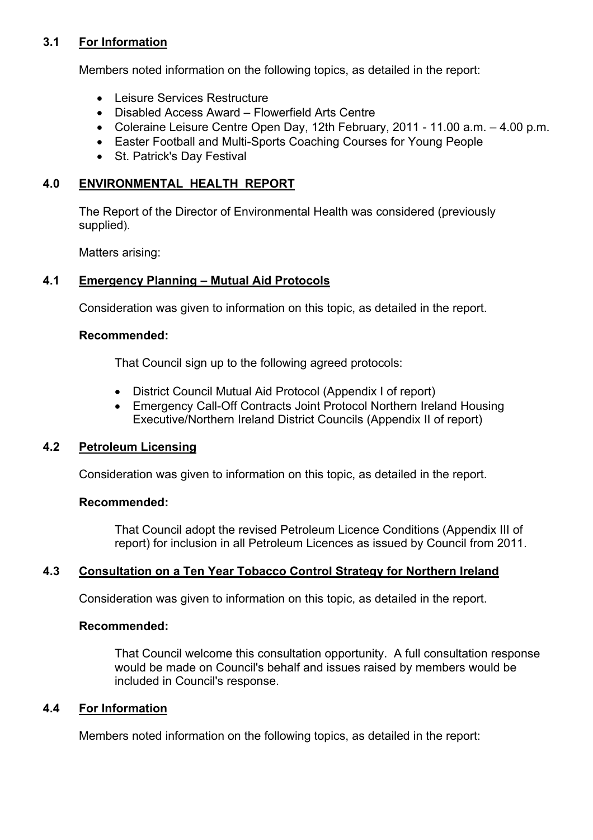# **3.1 For Information**

Members noted information on the following topics, as detailed in the report:

- Leisure Services Restructure
- Disabled Access Award Flowerfield Arts Centre
- Coleraine Leisure Centre Open Day, 12th February, 2011 11.00 a.m. 4.00 p.m.
- Easter Football and Multi-Sports Coaching Courses for Young People
- St. Patrick's Day Festival

# **4.0 ENVIRONMENTAL HEALTH REPORT**

The Report of the Director of Environmental Health was considered (previously supplied).

Matters arising:

# **4.1 Emergency Planning – Mutual Aid Protocols**

Consideration was given to information on this topic, as detailed in the report.

### **Recommended:**

That Council sign up to the following agreed protocols:

- District Council Mutual Aid Protocol (Appendix I of report)
- Emergency Call-Off Contracts Joint Protocol Northern Ireland Housing Executive/Northern Ireland District Councils (Appendix II of report)

# **4.2 Petroleum Licensing**

Consideration was given to information on this topic, as detailed in the report.

### **Recommended:**

 That Council adopt the revised Petroleum Licence Conditions (Appendix III of report) for inclusion in all Petroleum Licences as issued by Council from 2011.

# **4.3 Consultation on a Ten Year Tobacco Control Strategy for Northern Ireland**

Consideration was given to information on this topic, as detailed in the report.

### **Recommended:**

 That Council welcome this consultation opportunity. A full consultation response would be made on Council's behalf and issues raised by members would be included in Council's response.

# **4.4 For Information**

Members noted information on the following topics, as detailed in the report: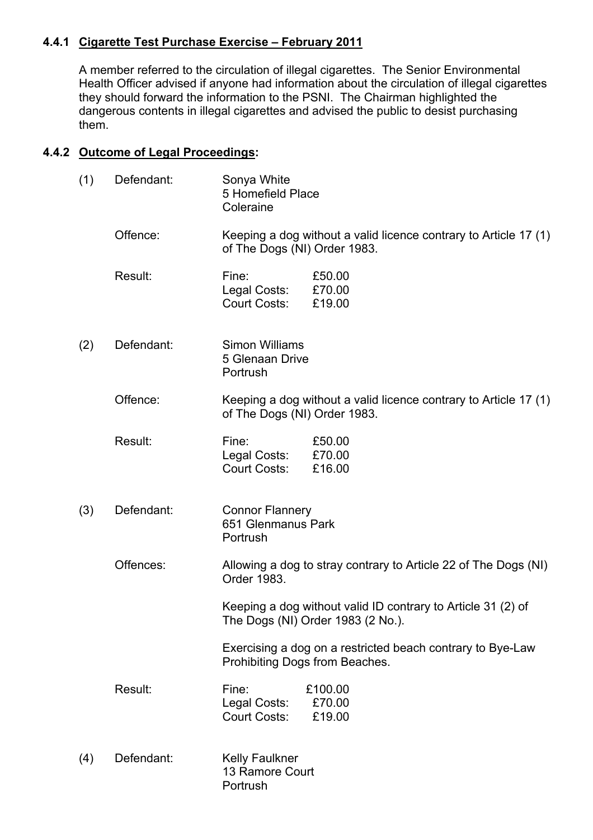# **4.4.1 Cigarette Test Purchase Exercise – February 2011**

A member referred to the circulation of illegal cigarettes. The Senior Environmental Health Officer advised if anyone had information about the circulation of illegal cigarettes they should forward the information to the PSNI. The Chairman highlighted the dangerous contents in illegal cigarettes and advised the public to desist purchasing them.

# **4.4.2 Outcome of Legal Proceedings:**

| (1) | Defendant: | Sonya White<br>5 Homefield Place<br>Coleraine            |                                                                                                   |
|-----|------------|----------------------------------------------------------|---------------------------------------------------------------------------------------------------|
|     | Offence:   | of The Dogs (NI) Order 1983.                             | Keeping a dog without a valid licence contrary to Article 17 (1)                                  |
|     | Result:    | Fine:<br>Legal Costs:<br><b>Court Costs:</b>             | £50.00<br>£70.00<br>£19.00                                                                        |
| (2) | Defendant: | Simon Williams<br>5 Glenaan Drive<br>Portrush            |                                                                                                   |
|     | Offence:   | of The Dogs (NI) Order 1983.                             | Keeping a dog without a valid licence contrary to Article 17 (1)                                  |
|     | Result:    | Fine:<br>Legal Costs:<br><b>Court Costs:</b>             | £50.00<br>£70.00<br>£16.00                                                                        |
| (3) | Defendant: | <b>Connor Flannery</b><br>651 Glenmanus Park<br>Portrush |                                                                                                   |
|     | Offences:  | Order 1983.                                              | Allowing a dog to stray contrary to Article 22 of The Dogs (NI)                                   |
|     |            |                                                          | Keeping a dog without valid ID contrary to Article 31 (2) of<br>The Dogs (NI) Order 1983 (2 No.). |
|     |            | Prohibiting Dogs from Beaches.                           | Exercising a dog on a restricted beach contrary to Bye-Law                                        |
|     | Result:    | Fine:<br>Legal Costs:<br><b>Court Costs:</b>             | £100.00<br>£70.00<br>£19.00                                                                       |
| (4) | Defendant: | <b>Kelly Faulkner</b><br>13 Ramore Court<br>Portrush     |                                                                                                   |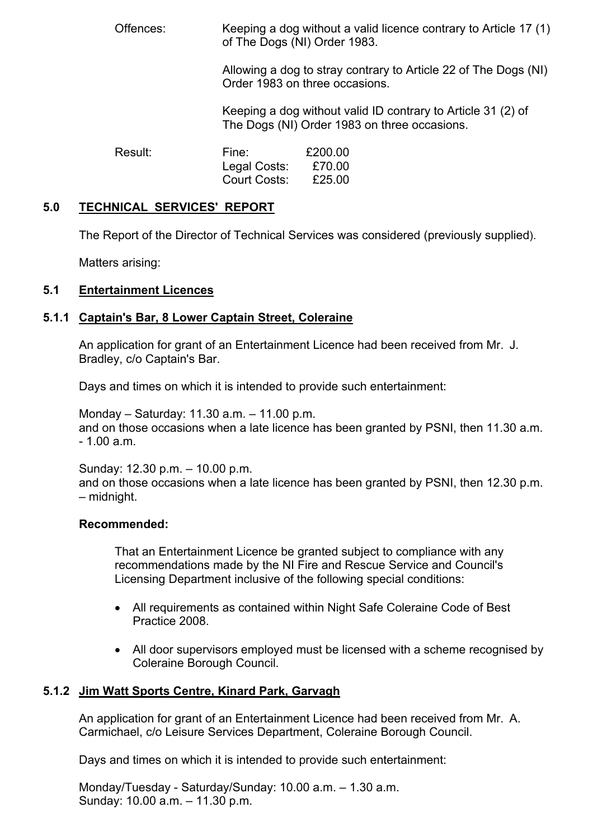Offences: Keeping a dog without a valid licence contrary to Article 17 (1) of The Dogs (NI) Order 1983.

> Allowing a dog to stray contrary to Article 22 of The Dogs (NI) Order 1983 on three occasions.

 Keeping a dog without valid ID contrary to Article 31 (2) of The Dogs (NI) Order 1983 on three occasions.

Result: Fine: £200.00 Legal Costs: £70.00 Court Costs: £25.00

### **5.0 TECHNICAL SERVICES' REPORT**

The Report of the Director of Technical Services was considered (previously supplied).

Matters arising:

# **5.1 Entertainment Licences**

## **5.1.1 Captain's Bar, 8 Lower Captain Street, Coleraine**

An application for grant of an Entertainment Licence had been received from Mr. J. Bradley, c/o Captain's Bar.

Days and times on which it is intended to provide such entertainment:

 Monday – Saturday: 11.30 a.m. – 11.00 p.m. and on those occasions when a late licence has been granted by PSNI, then 11.30 a.m. - 1.00 a.m.

Sunday: 12.30 p.m. – 10.00 p.m.

 and on those occasions when a late licence has been granted by PSNI, then 12.30 p.m. – midnight.

### **Recommended:**

 That an Entertainment Licence be granted subject to compliance with any recommendations made by the NI Fire and Rescue Service and Council's Licensing Department inclusive of the following special conditions:

- All requirements as contained within Night Safe Coleraine Code of Best Practice 2008.
- All door supervisors employed must be licensed with a scheme recognised by Coleraine Borough Council.

### **5.1.2 Jim Watt Sports Centre, Kinard Park, Garvagh**

 An application for grant of an Entertainment Licence had been received from Mr. A. Carmichael, c/o Leisure Services Department, Coleraine Borough Council.

Days and times on which it is intended to provide such entertainment:

 Monday/Tuesday - Saturday/Sunday: 10.00 a.m. – 1.30 a.m. Sunday: 10.00 a.m. – 11.30 p.m.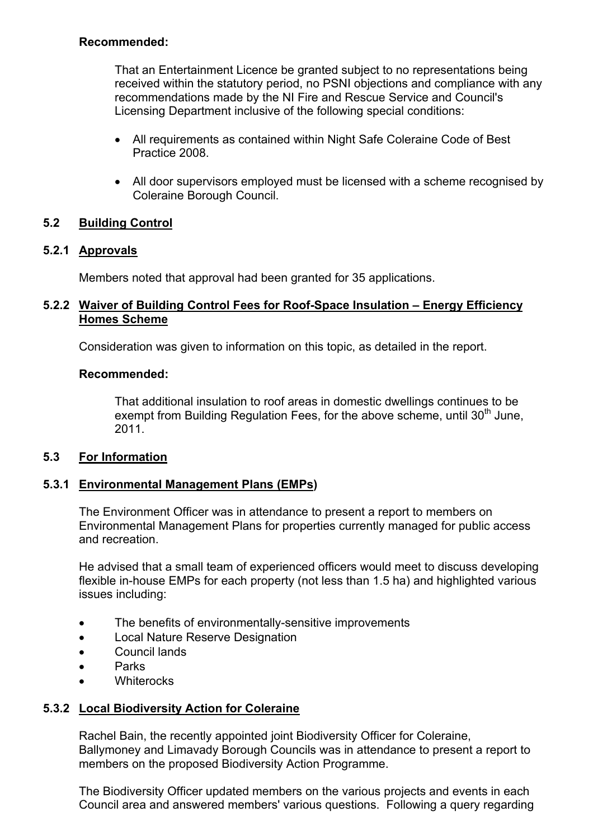## **Recommended:**

 That an Entertainment Licence be granted subject to no representations being received within the statutory period, no PSNI objections and compliance with any recommendations made by the NI Fire and Rescue Service and Council's Licensing Department inclusive of the following special conditions:

- All requirements as contained within Night Safe Coleraine Code of Best Practice 2008.
- All door supervisors employed must be licensed with a scheme recognised by Coleraine Borough Council.

# **5.2 Building Control**

# **5.2.1 Approvals**

Members noted that approval had been granted for 35 applications.

## **5.2.2 Waiver of Building Control Fees for Roof-Space Insulation – Energy Efficiency Homes Scheme**

Consideration was given to information on this topic, as detailed in the report.

## **Recommended:**

 That additional insulation to roof areas in domestic dwellings continues to be exempt from Building Regulation Fees, for the above scheme, until  $30<sup>th</sup>$  June, 2011.

# **5.3 For Information**

# **5.3.1 Environmental Management Plans (EMPs)**

The Environment Officer was in attendance to present a report to members on Environmental Management Plans for properties currently managed for public access and recreation.

 He advised that a small team of experienced officers would meet to discuss developing flexible in-house EMPs for each property (not less than 1.5 ha) and highlighted various issues including:

- The benefits of environmentally-sensitive improvements
- Local Nature Reserve Designation
- Council lands
- Parks
- Whiterocks

# **5.3.2 Local Biodiversity Action for Coleraine**

 Rachel Bain, the recently appointed joint Biodiversity Officer for Coleraine, Ballymoney and Limavady Borough Councils was in attendance to present a report to members on the proposed Biodiversity Action Programme.

 The Biodiversity Officer updated members on the various projects and events in each Council area and answered members' various questions. Following a query regarding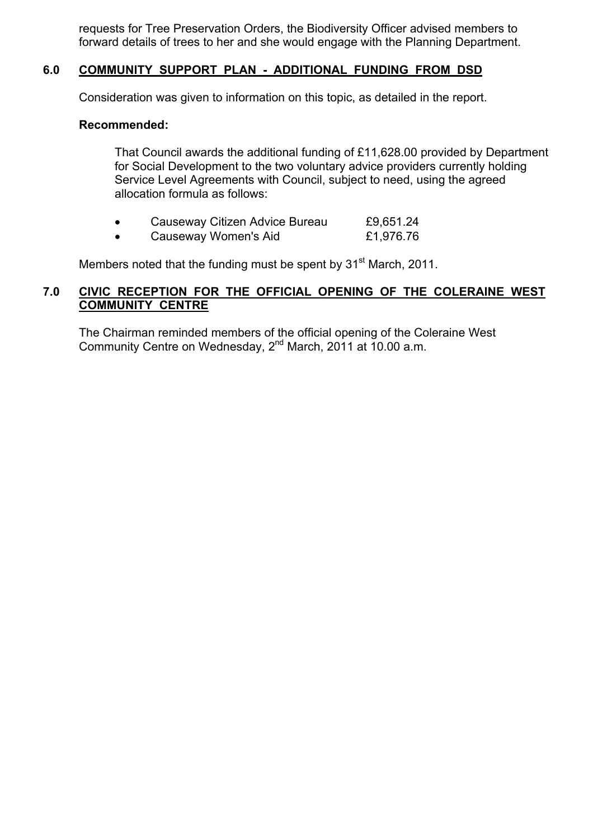requests for Tree Preservation Orders, the Biodiversity Officer advised members to forward details of trees to her and she would engage with the Planning Department.

## **6.0 COMMUNITY SUPPORT PLAN - ADDITIONAL FUNDING FROM DSD**

Consideration was given to information on this topic, as detailed in the report.

### **Recommended:**

That Council awards the additional funding of £11,628.00 provided by Department for Social Development to the two voluntary advice providers currently holding Service Level Agreements with Council, subject to need, using the agreed allocation formula as follows:

- Causeway Citizen Advice Bureau £9,651.24
- Causeway Women's Aid £1,976.76

Members noted that the funding must be spent by 31<sup>st</sup> March, 2011.

## **7.0 CIVIC RECEPTION FOR THE OFFICIAL OPENING OF THE COLERAINE WEST COMMUNITY CENTRE**

 The Chairman reminded members of the official opening of the Coleraine West Community Centre on Wednesday, 2<sup>nd</sup> March, 2011 at 10.00 a.m.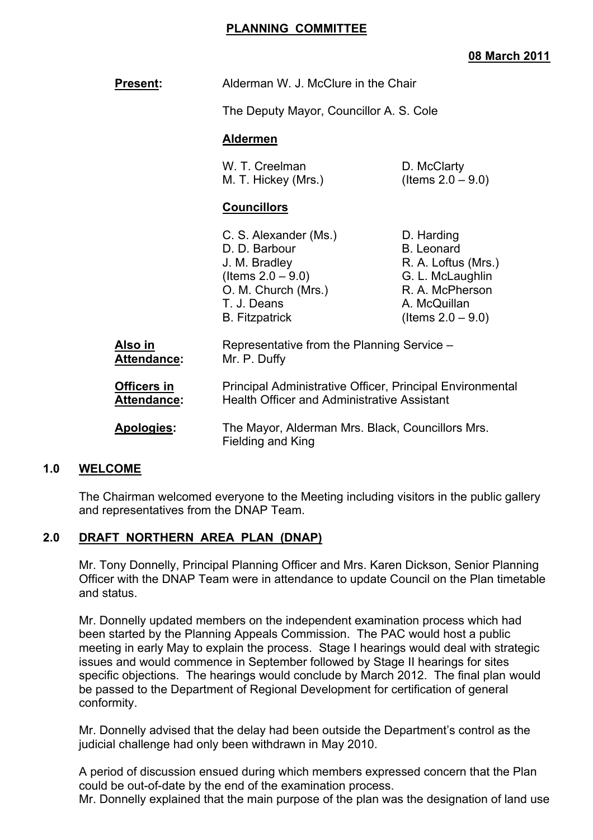### **PLANNING COMMITTEE**

## **08 March 2011**

| <b>Present:</b>                   | Alderman W. J. McClure in the Chair<br>The Deputy Mayor, Councillor A. S. Cole<br><b>Aldermen</b>                                                                                                                                                      |                                                                                                                                       |
|-----------------------------------|--------------------------------------------------------------------------------------------------------------------------------------------------------------------------------------------------------------------------------------------------------|---------------------------------------------------------------------------------------------------------------------------------------|
|                                   |                                                                                                                                                                                                                                                        |                                                                                                                                       |
|                                   |                                                                                                                                                                                                                                                        |                                                                                                                                       |
|                                   | W. T. Creelman<br>M. T. Hickey (Mrs.)                                                                                                                                                                                                                  | D. McClarty<br>(Items $2.0 - 9.0$ )                                                                                                   |
|                                   | <b>Councillors</b>                                                                                                                                                                                                                                     |                                                                                                                                       |
|                                   | C. S. Alexander (Ms.)<br>D. D. Barbour<br>J. M. Bradley<br>(Items $2.0 - 9.0$ )<br>O. M. Church (Mrs.)<br>T. J. Deans<br><b>B.</b> Fitzpatrick                                                                                                         | D. Harding<br><b>B.</b> Leonard<br>R. A. Loftus (Mrs.)<br>G. L. McLaughlin<br>R. A. McPherson<br>A. McQuillan<br>(Items $2.0 - 9.0$ ) |
| Also in<br><b>Attendance:</b>     | Representative from the Planning Service -<br>Mr. P. Duffy<br>Principal Administrative Officer, Principal Environmental<br><b>Health Officer and Administrative Assistant</b><br>The Mayor, Alderman Mrs. Black, Councillors Mrs.<br>Fielding and King |                                                                                                                                       |
| <b>Officers in</b><br>Attendance: |                                                                                                                                                                                                                                                        |                                                                                                                                       |
| Apologies:                        |                                                                                                                                                                                                                                                        |                                                                                                                                       |
|                                   |                                                                                                                                                                                                                                                        |                                                                                                                                       |

### **1.0 WELCOME**

 The Chairman welcomed everyone to the Meeting including visitors in the public gallery and representatives from the DNAP Team.

### **2.0 DRAFT NORTHERN AREA PLAN (DNAP)**

 Mr. Tony Donnelly, Principal Planning Officer and Mrs. Karen Dickson, Senior Planning Officer with the DNAP Team were in attendance to update Council on the Plan timetable and status.

 Mr. Donnelly updated members on the independent examination process which had been started by the Planning Appeals Commission. The PAC would host a public meeting in early May to explain the process. Stage I hearings would deal with strategic issues and would commence in September followed by Stage II hearings for sites specific objections. The hearings would conclude by March 2012. The final plan would be passed to the Department of Regional Development for certification of general conformity.

 Mr. Donnelly advised that the delay had been outside the Department's control as the judicial challenge had only been withdrawn in May 2010.

 A period of discussion ensued during which members expressed concern that the Plan could be out-of-date by the end of the examination process. Mr. Donnelly explained that the main purpose of the plan was the designation of land use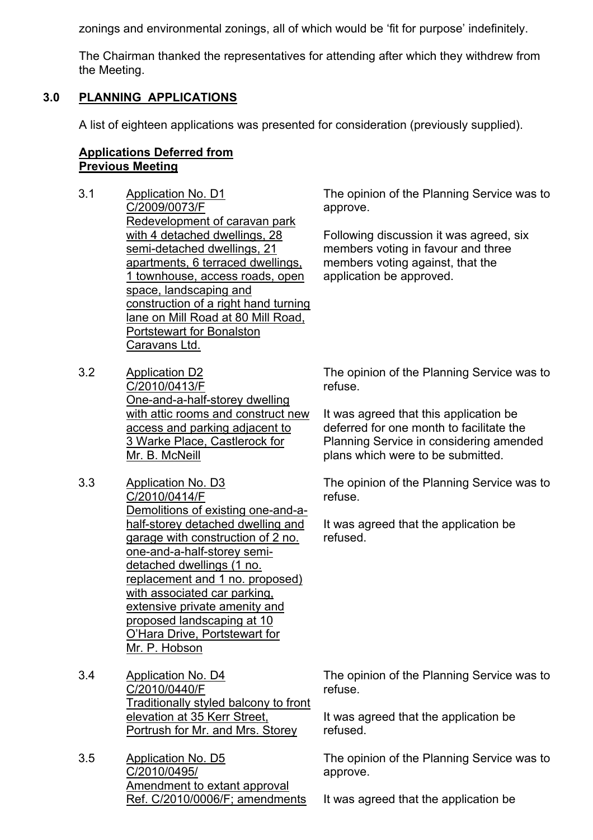zonings and environmental zonings, all of which would be 'fit for purpose' indefinitely.

 The Chairman thanked the representatives for attending after which they withdrew from the Meeting.

# **3.0 PLANNING APPLICATIONS**

A list of eighteen applications was presented for consideration (previously supplied).

# **Applications Deferred from Previous Meeting**

- 3.1 Application No. D1 C/2009/0073/F Redevelopment of caravan park with 4 detached dwellings, 28 semi-detached dwellings, 21 apartments, 6 terraced dwellings, 1 townhouse, access roads, open space, landscaping and construction of a right hand turning lane on Mill Road at 80 Mill Road, Portstewart for Bonalston Caravans Ltd.
- 3.2 Application D2 C/2010/0413/F One-and-a-half-storey dwelling with attic rooms and construct new access and parking adjacent to 3 Warke Place, Castlerock for Mr. B. McNeill
- 3.3 Application No. D3 C/2010/0414/F Demolitions of existing one-and-ahalf-storey detached dwelling and garage with construction of 2 no. one-and-a-half-storey semidetached dwellings (1 no. replacement and 1 no. proposed) with associated car parking, extensive private amenity and proposed landscaping at 10 O'Hara Drive, Portstewart for Mr. P. Hobson
- 3.4 Application No. D4 C/2010/0440/F Traditionally styled balcony to front elevation at 35 Kerr Street, Portrush for Mr. and Mrs. Storey
- 3.5 Application No. D5 C/2010/0495/ Amendment to extant approval Ref. C/2010/0006/F; amendments

The opinion of the Planning Service was to approve.

Following discussion it was agreed, six members voting in favour and three members voting against, that the application be approved.

The opinion of the Planning Service was to refuse.

It was agreed that this application be deferred for one month to facilitate the Planning Service in considering amended plans which were to be submitted.

The opinion of the Planning Service was to refuse.

It was agreed that the application be refused.

The opinion of the Planning Service was to refuse.

It was agreed that the application be refused.

The opinion of the Planning Service was to approve.

It was agreed that the application be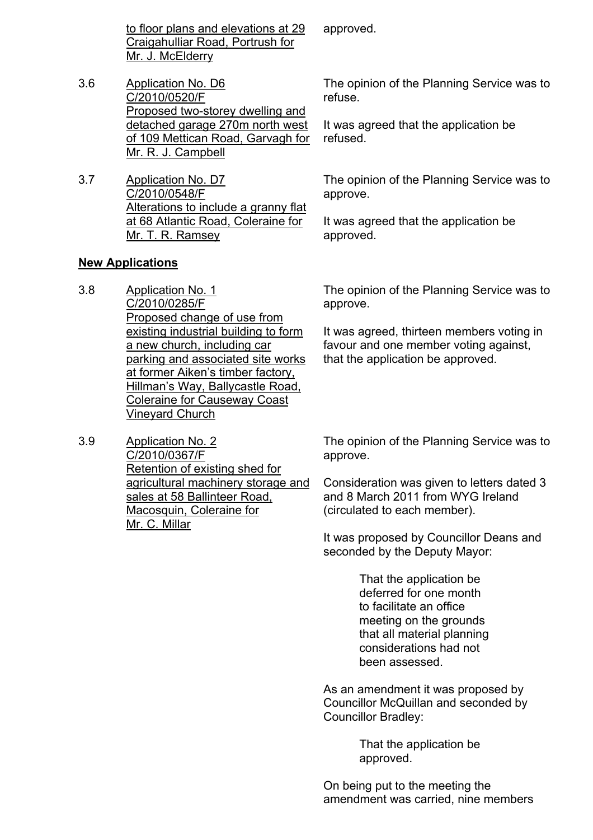to floor plans and elevations at 29 Craigahulliar Road, Portrush for Mr. J. McElderry

- 3.6 Application No. D6 C/2010/0520/F Proposed two-storey dwelling and detached garage 270m north west of 109 Mettican Road, Garvagh for Mr. R. J. Campbell
- 3.7 Application No. D7 C/2010/0548/F Alterations to include a granny flat at 68 Atlantic Road, Coleraine for Mr. T. R. Ramsey

### **New Applications**

- 3.8 Application No. 1 C/2010/0285/F Proposed change of use from existing industrial building to form a new church, including car parking and associated site works at former Aiken's timber factory, Hillman's Way, Ballycastle Road, Coleraine for Causeway Coast Vineyard Church
- 3.9 Application No. 2 C/2010/0367/F Retention of existing shed for agricultural machinery storage and sales at 58 Ballinteer Road, Macosquin, Coleraine for Mr. C. Millar

The opinion of the Planning Service was to approve.

It was agreed, thirteen members voting in favour and one member voting against, that the application be approved.

The opinion of the Planning Service was to approve.

Consideration was given to letters dated 3 and 8 March 2011 from WYG Ireland (circulated to each member).

It was proposed by Councillor Deans and seconded by the Deputy Mayor:

> That the application be deferred for one month to facilitate an office meeting on the grounds that all material planning considerations had not been assessed.

As an amendment it was proposed by Councillor McQuillan and seconded by Councillor Bradley:

> That the application be approved.

On being put to the meeting the amendment was carried, nine members

approved.

The opinion of the Planning Service was to refuse.

It was agreed that the application be refused.

The opinion of the Planning Service was to approve.

It was agreed that the application be approved.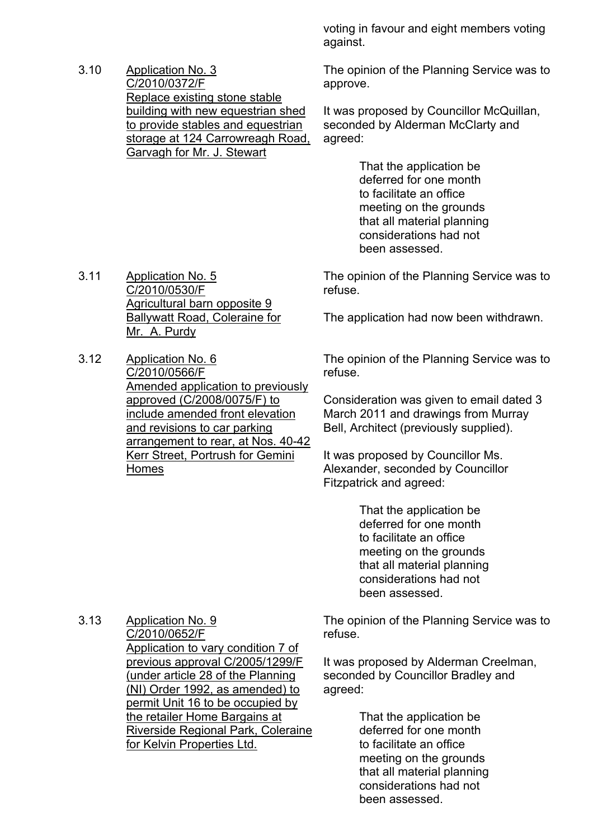3.10 Application No. 3 C/2010/0372/F Replace existing stone stable building with new equestrian shed to provide stables and equestrian storage at 124 Carrowreagh Road, Garvagh for Mr. J. Stewart

voting in favour and eight members voting against.

The opinion of the Planning Service was to approve.

It was proposed by Councillor McQuillan, seconded by Alderman McClarty and agreed:

> That the application be deferred for one month to facilitate an office meeting on the grounds that all material planning considerations had not been assessed.

The opinion of the Planning Service was to refuse.

The application had now been withdrawn.

The opinion of the Planning Service was to refuse.

Consideration was given to email dated 3 March 2011 and drawings from Murray Bell, Architect (previously supplied).

It was proposed by Councillor Ms. Alexander, seconded by Councillor Fitzpatrick and agreed:

> That the application be deferred for one month to facilitate an office meeting on the grounds that all material planning considerations had not been assessed.

The opinion of the Planning Service was to refuse.

It was proposed by Alderman Creelman, seconded by Councillor Bradley and agreed:

> That the application be deferred for one month to facilitate an office meeting on the grounds that all material planning considerations had not been assessed.

- 3.11 Application No. 5 C/2010/0530/F Agricultural barn opposite 9 Ballywatt Road, Coleraine for Mr. A. Purdy
- 3.12 Application No. 6 C/2010/0566/F Amended application to previously approved (C/2008/0075/F) to include amended front elevation and revisions to car parking arrangement to rear, at Nos. 40-42 Kerr Street, Portrush for Gemini Homes

3.13 Application No. 9 C/2010/0652/F Application to vary condition 7 of previous approval C/2005/1299/F (under article 28 of the Planning (NI) Order 1992, as amended) to permit Unit 16 to be occupied by the retailer Home Bargains at Riverside Regional Park, Coleraine for Kelvin Properties Ltd.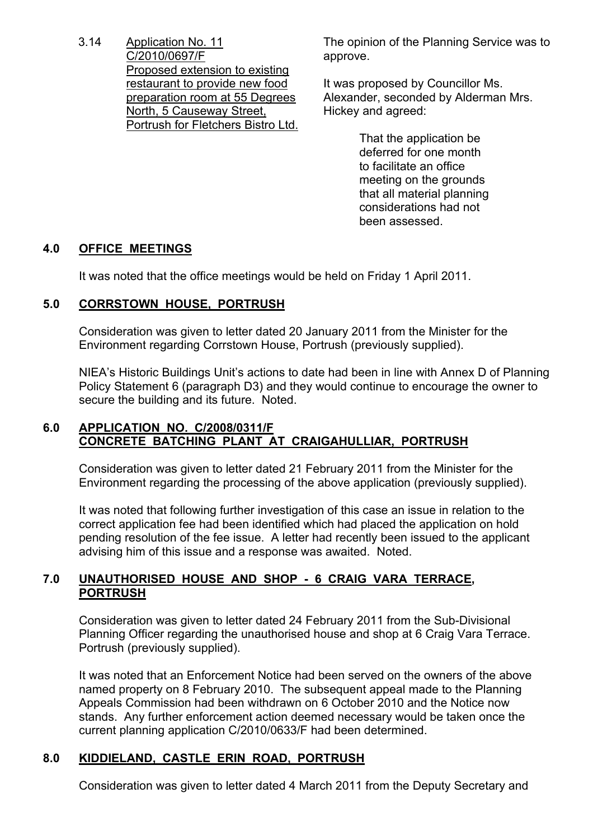3.14 Application No. 11 C/2010/0697/F Proposed extension to existing restaurant to provide new food preparation room at 55 Degrees North, 5 Causeway Street, Portrush for Fletchers Bistro Ltd.

The opinion of the Planning Service was to approve.

It was proposed by Councillor Ms. Alexander, seconded by Alderman Mrs. Hickey and agreed:

> That the application be deferred for one month to facilitate an office meeting on the grounds that all material planning considerations had not been assessed.

# **4.0 OFFICE MEETINGS**

It was noted that the office meetings would be held on Friday 1 April 2011.

# **5.0 CORRSTOWN HOUSE, PORTRUSH**

 Consideration was given to letter dated 20 January 2011 from the Minister for the Environment regarding Corrstown House, Portrush (previously supplied).

 NIEA's Historic Buildings Unit's actions to date had been in line with Annex D of Planning Policy Statement 6 (paragraph D3) and they would continue to encourage the owner to secure the building and its future. Noted.

# **6.0 APPLICATION NO. C/2008/0311/F CONCRETE BATCHING PLANT AT CRAIGAHULLIAR, PORTRUSH**

 Consideration was given to letter dated 21 February 2011 from the Minister for the Environment regarding the processing of the above application (previously supplied).

 It was noted that following further investigation of this case an issue in relation to the correct application fee had been identified which had placed the application on hold pending resolution of the fee issue. A letter had recently been issued to the applicant advising him of this issue and a response was awaited. Noted.

# **7.0 UNAUTHORISED HOUSE AND SHOP - 6 CRAIG VARA TERRACE, PORTRUSH**

 Consideration was given to letter dated 24 February 2011 from the Sub-Divisional Planning Officer regarding the unauthorised house and shop at 6 Craig Vara Terrace. Portrush (previously supplied).

 It was noted that an Enforcement Notice had been served on the owners of the above named property on 8 February 2010. The subsequent appeal made to the Planning Appeals Commission had been withdrawn on 6 October 2010 and the Notice now stands. Any further enforcement action deemed necessary would be taken once the current planning application C/2010/0633/F had been determined.

# **8.0 KIDDIELAND, CASTLE ERIN ROAD, PORTRUSH**

Consideration was given to letter dated 4 March 2011 from the Deputy Secretary and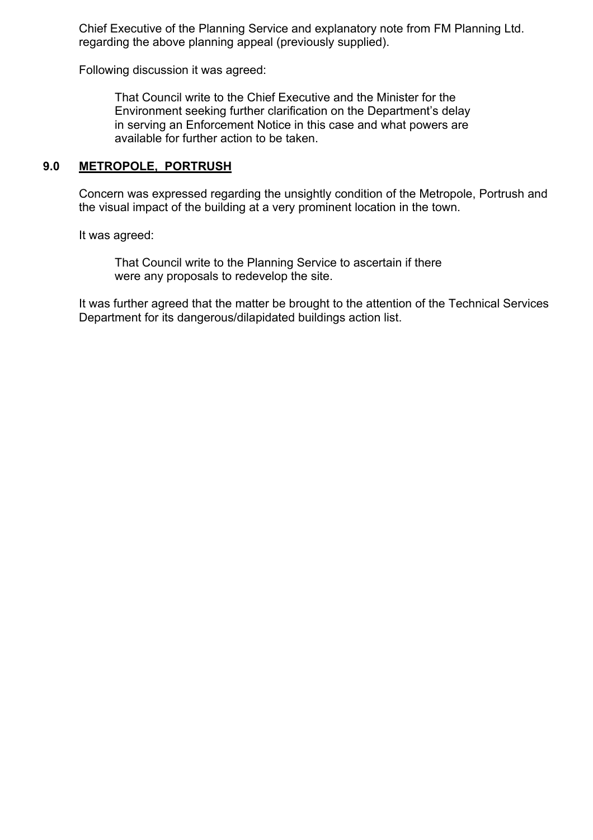Chief Executive of the Planning Service and explanatory note from FM Planning Ltd. regarding the above planning appeal (previously supplied).

Following discussion it was agreed:

 That Council write to the Chief Executive and the Minister for the Environment seeking further clarification on the Department's delay in serving an Enforcement Notice in this case and what powers are available for further action to be taken.

### **9.0 METROPOLE, PORTRUSH**

 Concern was expressed regarding the unsightly condition of the Metropole, Portrush and the visual impact of the building at a very prominent location in the town.

It was agreed:

 That Council write to the Planning Service to ascertain if there were any proposals to redevelop the site.

 It was further agreed that the matter be brought to the attention of the Technical Services Department for its dangerous/dilapidated buildings action list.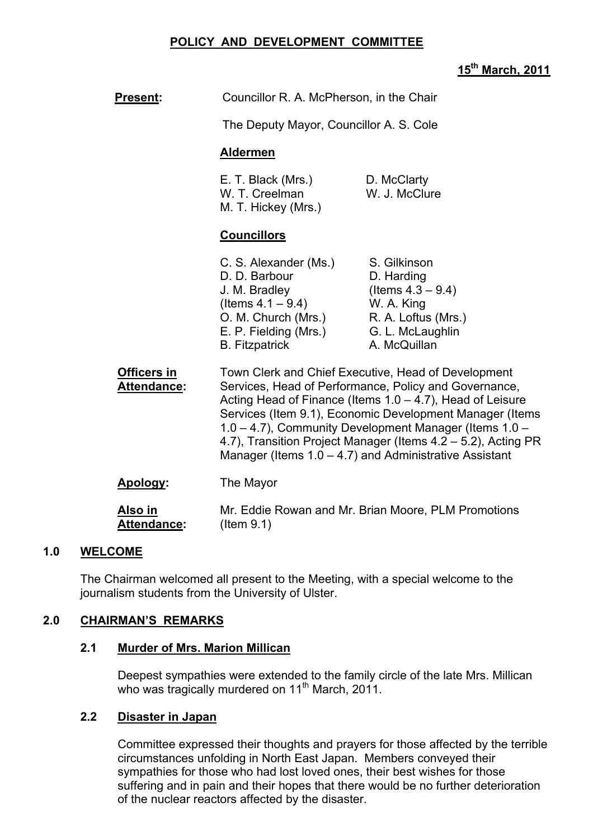## **POLICY AND DEVELOPMENT COMMITTEE**

### **15th March, 2011**

| <u>Present:</u>               | Councillor R. A. McPherson, in the Chair                                                                                                                                                                                                                                                                                                                                                                                                      |                                                                                                                             |
|-------------------------------|-----------------------------------------------------------------------------------------------------------------------------------------------------------------------------------------------------------------------------------------------------------------------------------------------------------------------------------------------------------------------------------------------------------------------------------------------|-----------------------------------------------------------------------------------------------------------------------------|
|                               | The Deputy Mayor, Councillor A. S. Cole                                                                                                                                                                                                                                                                                                                                                                                                       |                                                                                                                             |
|                               | <b>Aldermen</b>                                                                                                                                                                                                                                                                                                                                                                                                                               |                                                                                                                             |
|                               | E. T. Black (Mrs.)<br>W. T. Creelman<br>M. T. Hickey (Mrs.)                                                                                                                                                                                                                                                                                                                                                                                   | D. McClarty<br>W. J. McClure                                                                                                |
|                               | <b>Councillors</b>                                                                                                                                                                                                                                                                                                                                                                                                                            |                                                                                                                             |
|                               | C. S. Alexander (Ms.)<br>D. D. Barbour<br>J. M. Bradley<br>(Items $4.1 - 9.4$ )<br>O. M. Church (Mrs.)<br>E. P. Fielding (Mrs.)<br><b>B.</b> Fitzpatrick                                                                                                                                                                                                                                                                                      | S. Gilkinson<br>D. Harding<br>(Items $4.3 - 9.4$ )<br>W. A. King<br>R. A. Loftus (Mrs.)<br>G. L. McLaughlin<br>A. McQuillan |
| Officers in<br>Attendance:    | Town Clerk and Chief Executive, Head of Development<br>Services, Head of Performance, Policy and Governance,<br>Acting Head of Finance (Items $1.0 - 4.7$ ), Head of Leisure<br>Services (Item 9.1), Economic Development Manager (Items<br>1.0 - 4.7), Community Development Manager (Items 1.0 -<br>4.7), Transition Project Manager (Items 4.2 – 5.2), Acting PR<br>Manager (Items $1.0 - 4.7$ ) and Administrative Assistant<br>The Mayor |                                                                                                                             |
| Apology:                      |                                                                                                                                                                                                                                                                                                                                                                                                                                               |                                                                                                                             |
| Also in<br><b>Attendance:</b> | $($ ltem $9.1)$                                                                                                                                                                                                                                                                                                                                                                                                                               | Mr. Eddie Rowan and Mr. Brian Moore, PLM Promotions                                                                         |

### **1.0 WELCOME**

The Chairman welcomed all present to the Meeting, with a special welcome to the journalism students from the University of Ulster.

#### **2.0 CHAIRMAN'S REMARKS**

#### **2.1 Murder of Mrs. Marion Millican**

 Deepest sympathies were extended to the family circle of the late Mrs. Millican who was tragically murdered on 11<sup>th</sup> March, 2011.

### **2.2 Disaster in Japan**

Committee expressed their thoughts and prayers for those affected by the terrible circumstances unfolding in North East Japan. Members conveyed their sympathies for those who had lost loved ones, their best wishes for those suffering and in pain and their hopes that there would be no further deterioration of the nuclear reactors affected by the disaster.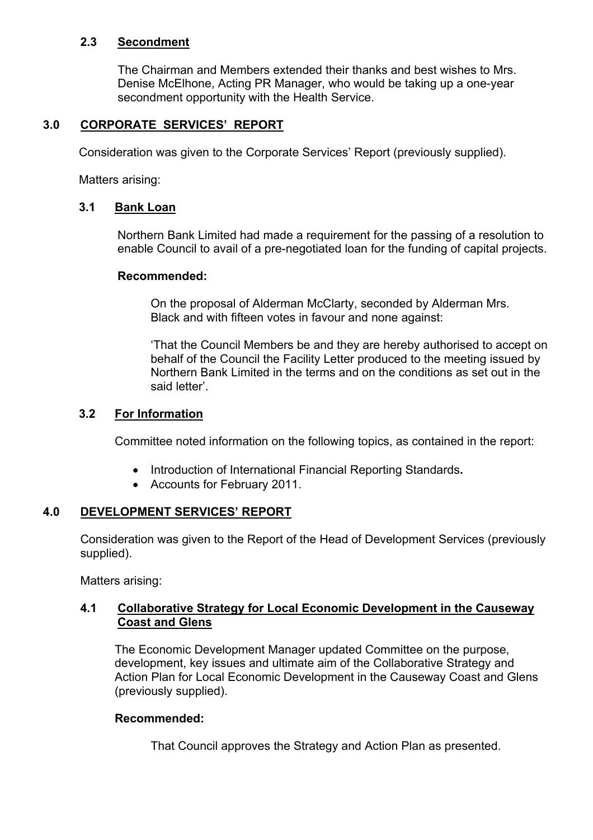## **2.3 Secondment**

The Chairman and Members extended their thanks and best wishes to Mrs. Denise McElhone, Acting PR Manager, who would be taking up a one-year secondment opportunity with the Health Service.

## **3.0 CORPORATE SERVICES' REPORT**

Consideration was given to the Corporate Services' Report (previously supplied).

Matters arising:

### **3.1 Bank Loan**

Northern Bank Limited had made a requirement for the passing of a resolution to enable Council to avail of a pre-negotiated loan for the funding of capital projects.

### **Recommended:**

 On the proposal of Alderman McClarty, seconded by Alderman Mrs. Black and with fifteen votes in favour and none against:

 'That the Council Members be and they are hereby authorised to accept on behalf of the Council the Facility Letter produced to the meeting issued by Northern Bank Limited in the terms and on the conditions as set out in the said letter'.

### **3.2 For Information**

Committee noted information on the following topics, as contained in the report:

- Introduction of International Financial Reporting Standards**.**
- Accounts for February 2011.

### **4.0 DEVELOPMENT SERVICES' REPORT**

 Consideration was given to the Report of the Head of Development Services (previously supplied).

Matters arising:

## **4.1 Collaborative Strategy for Local Economic Development in the Causeway Coast and Glens**

The Economic Development Manager updated Committee on the purpose, development, key issues and ultimate aim of the Collaborative Strategy and Action Plan for Local Economic Development in the Causeway Coast and Glens (previously supplied).

### **Recommended:**

That Council approves the Strategy and Action Plan as presented.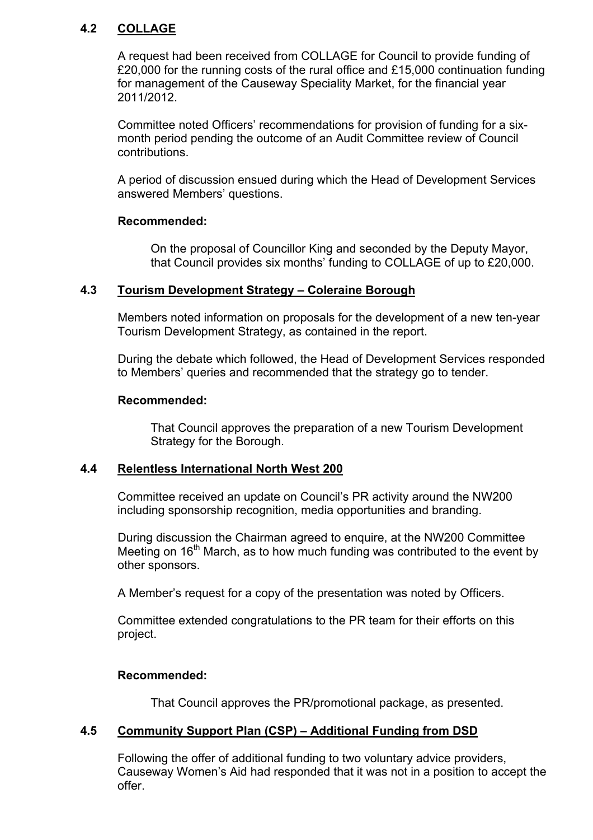## **4.2 COLLAGE**

 A request had been received from COLLAGE for Council to provide funding of £20,000 for the running costs of the rural office and £15,000 continuation funding for management of the Causeway Speciality Market, for the financial year 2011/2012.

 Committee noted Officers' recommendations for provision of funding for a sixmonth period pending the outcome of an Audit Committee review of Council contributions.

 A period of discussion ensued during which the Head of Development Services answered Members' questions.

### **Recommended:**

 On the proposal of Councillor King and seconded by the Deputy Mayor, that Council provides six months' funding to COLLAGE of up to £20,000.

### **4.3 Tourism Development Strategy – Coleraine Borough**

 Members noted information on proposals for the development of a new ten-year Tourism Development Strategy, as contained in the report.

 During the debate which followed, the Head of Development Services responded to Members' queries and recommended that the strategy go to tender.

### **Recommended:**

 That Council approves the preparation of a new Tourism Development Strategy for the Borough.

### **4.4 Relentless International North West 200**

Committee received an update on Council's PR activity around the NW200 including sponsorship recognition, media opportunities and branding.

 During discussion the Chairman agreed to enquire, at the NW200 Committee Meeting on  $16<sup>th</sup>$  March, as to how much funding was contributed to the event by other sponsors.

A Member's request for a copy of the presentation was noted by Officers.

 Committee extended congratulations to the PR team for their efforts on this project.

### **Recommended:**

That Council approves the PR/promotional package, as presented.

### **4.5 Community Support Plan (CSP) – Additional Funding from DSD**

Following the offer of additional funding to two voluntary advice providers, Causeway Women's Aid had responded that it was not in a position to accept the offer.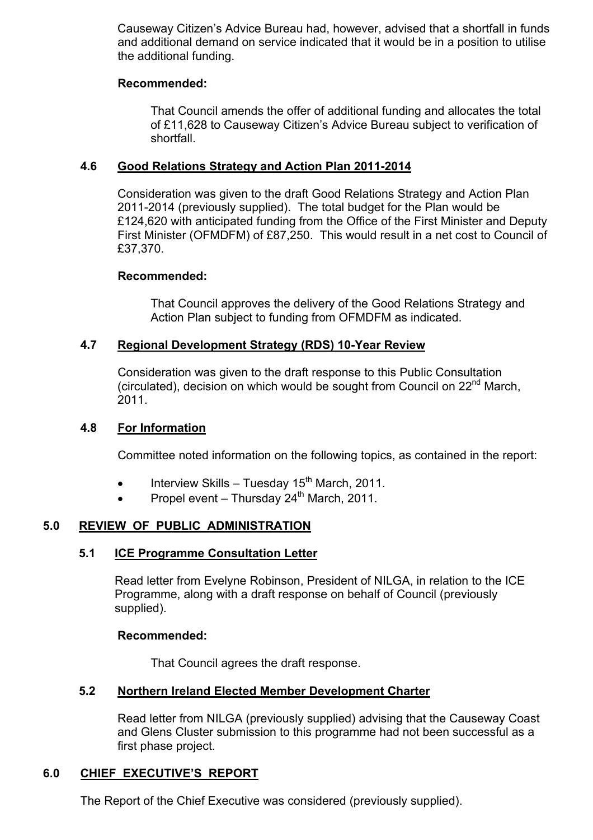Causeway Citizen's Advice Bureau had, however, advised that a shortfall in funds and additional demand on service indicated that it would be in a position to utilise the additional funding.

### **Recommended:**

That Council amends the offer of additional funding and allocates the total of £11,628 to Causeway Citizen's Advice Bureau subject to verification of shortfall.

### **4.6 Good Relations Strategy and Action Plan 2011-2014**

Consideration was given to the draft Good Relations Strategy and Action Plan 2011-2014 (previously supplied). The total budget for the Plan would be £124,620 with anticipated funding from the Office of the First Minister and Deputy First Minister (OFMDFM) of £87,250. This would result in a net cost to Council of £37,370.

### **Recommended:**

That Council approves the delivery of the Good Relations Strategy and Action Plan subject to funding from OFMDFM as indicated.

### **4.7 Regional Development Strategy (RDS) 10-Year Review**

 Consideration was given to the draft response to this Public Consultation (circulated), decision on which would be sought from Council on 22<sup>nd</sup> March, 2011.

### **4.8 For Information**

Committee noted information on the following topics, as contained in the report:

- Interview Skills Tuesday  $15<sup>th</sup>$  March, 2011.
- Propel event Thursday  $24<sup>th</sup>$  March, 2011.

# **5.0 REVIEW OF PUBLIC ADMINISTRATION**

### **5.1 ICE Programme Consultation Letter**

Read letter from Evelyne Robinson, President of NILGA, in relation to the ICE Programme, along with a draft response on behalf of Council (previously supplied).

#### **Recommended:**

That Council agrees the draft response.

### **5.2 Northern Ireland Elected Member Development Charter**

Read letter from NILGA (previously supplied) advising that the Causeway Coast and Glens Cluster submission to this programme had not been successful as a first phase project.

# **6.0 CHIEF EXECUTIVE'S REPORT**

The Report of the Chief Executive was considered (previously supplied).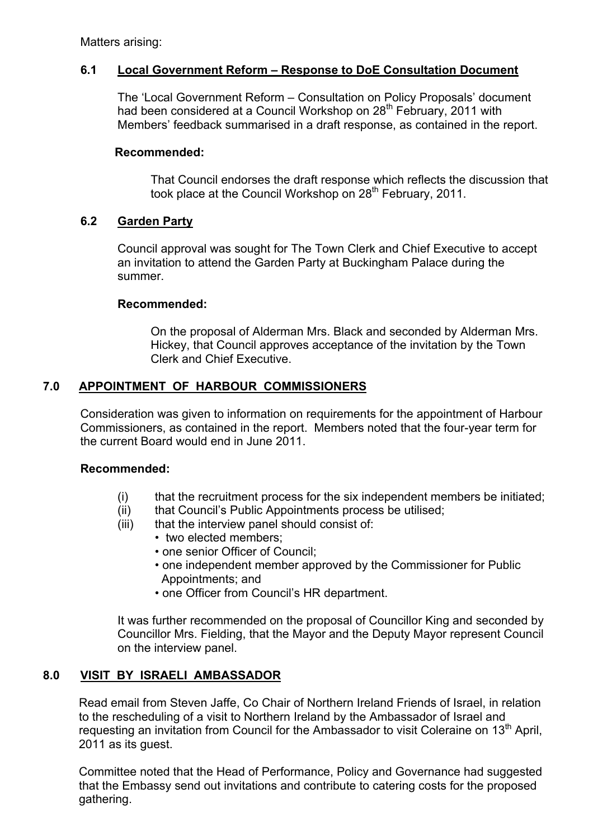Matters arising:

# **6.1 Local Government Reform – Response to DoE Consultation Document**

The 'Local Government Reform – Consultation on Policy Proposals' document had been considered at a Council Workshop on 28<sup>th</sup> February, 2011 with Members' feedback summarised in a draft response, as contained in the report.

### **Recommended:**

That Council endorses the draft response which reflects the discussion that took place at the Council Workshop on 28<sup>th</sup> February, 2011.

### **6.2 Garden Party**

Council approval was sought for The Town Clerk and Chief Executive to accept an invitation to attend the Garden Party at Buckingham Palace during the summer.

### **Recommended:**

 On the proposal of Alderman Mrs. Black and seconded by Alderman Mrs. Hickey, that Council approves acceptance of the invitation by the Town Clerk and Chief Executive.

### **7.0 APPOINTMENT OF HARBOUR COMMISSIONERS**

Consideration was given to information on requirements for the appointment of Harbour Commissioners, as contained in the report. Members noted that the four-year term for the current Board would end in June 2011.

#### **Recommended:**

- (i) that the recruitment process for the six independent members be initiated;
- (ii) that Council's Public Appointments process be utilised;
- (iii) that the interview panel should consist of:
	- two elected members:
	- one senior Officer of Council;
	- one independent member approved by the Commissioner for Public Appointments; and
	- one Officer from Council's HR department.

It was further recommended on the proposal of Councillor King and seconded by Councillor Mrs. Fielding, that the Mayor and the Deputy Mayor represent Council on the interview panel.

# **8.0 VISIT BY ISRAELI AMBASSADOR**

Read email from Steven Jaffe, Co Chair of Northern Ireland Friends of Israel, in relation to the rescheduling of a visit to Northern Ireland by the Ambassador of Israel and requesting an invitation from Council for the Ambassador to visit Coleraine on 13<sup>th</sup> April, 2011 as its guest.

Committee noted that the Head of Performance, Policy and Governance had suggested that the Embassy send out invitations and contribute to catering costs for the proposed gathering.